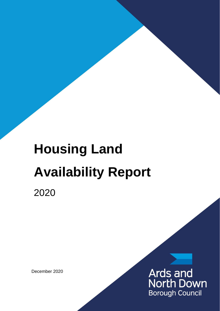# **Housing Land Availability Report**

2020

December 2020

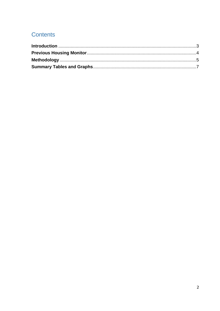# **Contents**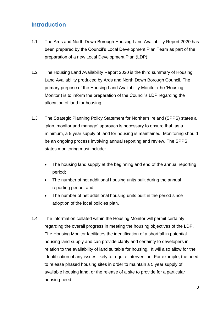# <span id="page-2-0"></span>**Introduction**

- 1.1 The Ards and North Down Borough Housing Land Availability Report 2020 has been prepared by the Council's Local Development Plan Team as part of the preparation of a new Local Development Plan (LDP).
- 1.2 The Housing Land Availability Report 2020 is the third summary of Housing Land Availability produced by Ards and North Down Borough Council. The primary purpose of the Housing Land Availability Monitor (the 'Housing Monitor') is to inform the preparation of the Council's LDP regarding the allocation of land for housing.
- 1.3 The Strategic Planning Policy Statement for Northern Ireland (SPPS) states a 'plan, monitor and manage' approach is necessary to ensure that, as a minimum, a 5 year supply of land for housing is maintained. Monitoring should be an ongoing process involving annual reporting and review. The SPPS states monitoring must include:
	- The housing land supply at the beginning and end of the annual reporting period;
	- The number of net additional housing units built during the annual reporting period; and
	- The number of net additional housing units built in the period since adoption of the local policies plan.
- 1.4 The information collated within the Housing Monitor will permit certainty regarding the overall progress in meeting the housing objectives of the LDP. The Housing Monitor facilitates the identification of a shortfall in potential housing land supply and can provide clarity and certainty to developers in relation to the availability of land suitable for housing. It will also allow for the identification of any issues likely to require intervention. For example, the need to release phased housing sites in order to maintain a 5 year supply of available housing land, or the release of a site to provide for a particular housing need.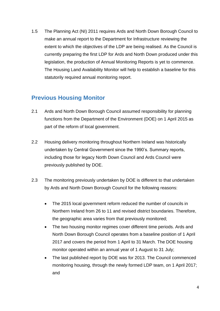1.5 The Planning Act (NI) 2011 requires Ards and North Down Borough Council to make an annual report to the Department for Infrastructure reviewing the extent to which the objectives of the LDP are being realised. As the Council is currently preparing the first LDP for Ards and North Down produced under this legislation, the production of Annual Monitoring Reports is yet to commence. The Housing Land Availability Monitor will help to establish a baseline for this statutorily required annual monitoring report.

#### <span id="page-3-0"></span>**Previous Housing Monitor**

- 2.1 Ards and North Down Borough Council assumed responsibility for planning functions from the Department of the Environment (DOE) on 1 April 2015 as part of the reform of local government.
- 2.2 Housing delivery monitoring throughout Northern Ireland was historically undertaken by Central Government since the 1990's. Summary reports, including those for legacy North Down Council and Ards Council were previously published by DOE.
- 2.3 The monitoring previously undertaken by DOE is different to that undertaken by Ards and North Down Borough Council for the following reasons:
	- The 2015 local government reform reduced the number of councils in Northern Ireland from 26 to 11 and revised district boundaries. Therefore, the geographic area varies from that previously monitored;
	- The two housing monitor regimes cover different time periods. Ards and North Down Borough Council operates from a baseline position of 1 April 2017 and covers the period from 1 April to 31 March. The DOE housing monitor operated within an annual year of 1 August to 31 July;
	- The last published report by DOE was for 2013. The Council commenced monitoring housing, through the newly formed LDP team, on 1 April 2017; and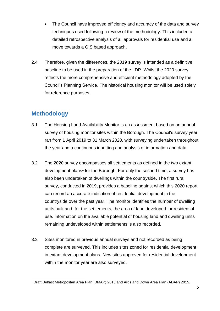- The Council have improved efficiency and accuracy of the data and survey techniques used following a review of the methodology. This included a detailed retrospective analysis of all approvals for residential use and a move towards a GIS based approach.
- 2.4 Therefore, given the differences, the 2019 survey is intended as a definitive baseline to be used in the preparation of the LDP. Whilst the 2020 survey reflects the more comprehensive and efficient methodology adopted by the Council's Planning Service. The historical housing monitor will be used solely for reference purposes.

## <span id="page-4-0"></span>**Methodology**

- 3.1 The Housing Land Availability Monitor is an assessment based on an annual survey of housing monitor sites within the Borough. The Council's survey year ran from 1 April 2019 to 31 March 2020, with surveying undertaken throughout the year and a continuous inputting and analysis of information and data.
- 3.2 The 2020 survey encompasses all settlements as defined in the two extant development plans<sup>1</sup> for the Borough. For only the second time, a survey has also been undertaken of dwellings within the countryside. The first rural survey, conducted in 2019, provides a baseline against which this 2020 report can record an accurate indication of residential development in the countryside over the past year. The monitor identifies the number of dwelling units built and, for the settlements, the area of land developed for residential use. Information on the available potential of housing land and dwelling units remaining undeveloped within settlements is also recorded.
- 3.3 Sites monitored in previous annual surveys and not recorded as being complete are surveyed. This includes sites zoned for residential development in extant development plans. New sites approved for residential development within the monitor year are also surveyed.

<sup>&</sup>lt;sup>1</sup> Draft Belfast Metropolitan Area Plan (BMAP) 2015 and Ards and Down Area Plan (ADAP) 2015.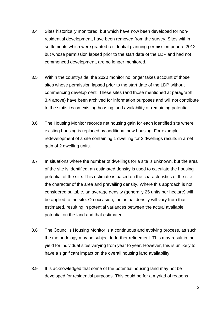- 3.4 Sites historically monitored, but which have now been developed for nonresidential development, have been removed from the survey. Sites within settlements which were granted residential planning permission prior to 2012, but whose permission lapsed prior to the start date of the LDP and had not commenced development, are no longer monitored.
- 3.5 Within the countryside, the 2020 monitor no longer takes account of those sites whose permission lapsed prior to the start date of the LDP without commencing development. These sites (and those mentioned at paragraph 3.4 above) have been archived for information purposes and will not contribute to the statistics on existing housing land availability or remaining potential.
- 3.6 The Housing Monitor records net housing gain for each identified site where existing housing is replaced by additional new housing. For example, redevelopment of a site containing 1 dwelling for 3 dwellings results in a net gain of 2 dwelling units.
- 3.7 In situations where the number of dwellings for a site is unknown, but the area of the site is identified, an estimated density is used to calculate the housing potential of the site. This estimate is based on the characteristics of the site, the character of the area and prevailing density. Where this approach is not considered suitable, an average density (generally 25 units per hectare) will be applied to the site. On occasion, the actual density will vary from that estimated, resulting in potential variances between the actual available potential on the land and that estimated.
- 3.8 The Council's Housing Monitor is a continuous and evolving process, as such the methodology may be subject to further refinement. This may result in the yield for individual sites varying from year to year. However, this is unlikely to have a significant impact on the overall housing land availability.
- 3.9 It is acknowledged that some of the potential housing land may not be developed for residential purposes. This could be for a myriad of reasons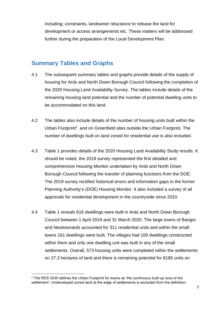including; constraints, landowner reluctance to release the land for development or access arrangements etc. These matters will be addressed further during the preparation of the Local Development Plan.

#### <span id="page-6-0"></span>**Summary Tables and Graphs**

- 4.1 The subsequent summary tables and graphs provide details of the supply of housing for Ards and North Down Borough Council following the completion of the 2020 Housing Land Availability Survey. The tables include details of the remaining housing land potential and the number of potential dwelling units to be accommodated on this land.
- 4.2 The tables also include details of the number of housing units built within the Urban Footprint<sup>2</sup> and on Greenfield sites outside the Urban Footprint. The number of dwellings built on land zoned for residential use is also included.
- 4.3 Table 1 provides details of the 2020 Housing Land Availability Study results. It should be noted, the 2019 survey represented the first detailed and comprehensive Housing Monitor undertaken by Ards and North Down Borough Council following the transfer of planning functions from the DOE. The 2019 survey rectified historical errors and information gaps in the former Planning Authority's (DOE) Housing Monitor. It also included a survey of all approvals for residential development in the countryside since 2010.
- 4.4 Table 1 reveals 616 dwellings were built in Ards and North Down Borough Council between 1 April 2019 and 31 March 2020. The large towns of Bangor and Newtownards accounted for 311 residential units and within the small towns 161 dwellings were built. The villages had 100 dwellings constructed within them and only one dwelling unit was built in any of the small settlements. Overall, 573 housing units were completed within the settlements on 27.3 hectares of land and there is remaining potential for 8185 units on

 $2$  The RDS 2035 defines the Urban Footprint for towns as 'the continuous built-up area of the settlement'. Undeveloped zoned land at the edge of settlements is excluded from the definition.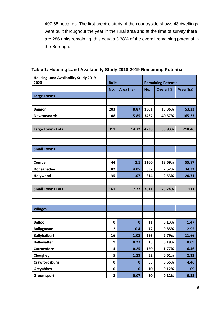407.68 hectares. The first precise study of the countryside shows 43 dwellings were built throughout the year in the rural area and at the time of survey there are 286 units remaining, this equals 3.38% of the overall remaining potential in the Borough.

| <b>Housing Land Availability Study 2019-</b><br>2020 | <b>Built</b>            |             | <b>Remaining Potential</b> |                  |           |
|------------------------------------------------------|-------------------------|-------------|----------------------------|------------------|-----------|
|                                                      | Area (ha)<br>No.        |             | No.                        | <b>Overall %</b> | Area (ha) |
| <b>Large Towns</b>                                   |                         |             |                            |                  |           |
|                                                      |                         |             |                            |                  |           |
|                                                      | 203                     | 8.87        | 1301                       | 15.36%           | 53.23     |
| <b>Bangor</b><br><b>Newtownards</b>                  | 108                     | 5.85        | 3437                       | 40.57%           | 165.23    |
|                                                      |                         |             |                            |                  |           |
| <b>Large Towns Total</b>                             | 311                     | 14.72       | 4738                       | 55.93%           | 218.46    |
|                                                      |                         |             |                            |                  |           |
|                                                      |                         |             |                            |                  |           |
| <b>Small Towns</b>                                   |                         |             |                            |                  |           |
|                                                      |                         |             |                            |                  |           |
| Comber                                               | 44                      | 2.1         | 1160                       | 13.69%           | 55.97     |
| Donaghadee                                           | 82                      | 4.05        | 637                        | 7.52%            | 34.32     |
| Holywood                                             | 35                      | 1.07        | 214                        | 2.53%            | 20.71     |
|                                                      |                         |             |                            |                  |           |
| <b>Small Towns Total</b>                             | 161                     | 7.22        | 2011                       | 23.74%           | 111       |
|                                                      |                         |             |                            |                  |           |
|                                                      |                         |             |                            |                  |           |
| <b>Villages</b>                                      |                         |             |                            |                  |           |
|                                                      |                         |             |                            |                  |           |
| <b>Balloo</b>                                        | $\mathbf 0$             | $\mathbf 0$ | 11                         | 0.13%            | 1.47      |
| <b>Ballygowan</b>                                    | 12                      | 0.4         | 72                         | 0.85%            | 2.95      |
| <b>Ballyhalbert</b>                                  | 16                      | 1.08        | 236                        | 2.79%            | 11.66     |
| <b>Ballywalter</b>                                   | 9                       | 0.27        | 15                         | 0.18%            | 0.09      |
| Carrowdore                                           | $\overline{\mathbf{4}}$ | 0.25        | 150                        | 1.77%            | 6.46      |
| Cloughey                                             | 5                       | 1.23        | 52                         | 0.61%            | 2.32      |
| Crawfordsburn                                        | $\pmb{0}$               | $\mathbf 0$ | 55                         | 0.65%            | 4.46      |
| Greyabbey                                            | $\pmb{0}$               | $\mathbf 0$ | 10                         | 0.12%            | 1.09      |
| Groomsport                                           | $\overline{2}$          | 0.07        | 10                         | 0.12%            | 0.22      |

**Table 1: Housing Land Availability Study 2018-2019 Remaining Potential**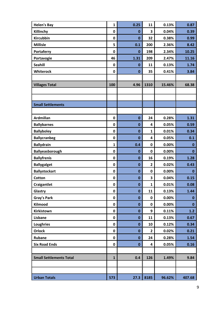| <b>Helen's Bay</b>             | $\mathbf{1}$ | 0.25         | 11             | 0.13%  | 0.87         |
|--------------------------------|--------------|--------------|----------------|--------|--------------|
| Killinchy                      | 0            | $\mathbf 0$  | 3              | 0.04%  | 0.39         |
| <b>Kircubbin</b>               | $\pmb{0}$    | $\mathbf{0}$ | 32             | 0.38%  | 0.99         |
| <b>Millisle</b>                | 5            | 0.1          | 200            | 2.36%  | 8.42         |
| <b>Portaferry</b>              | $\mathbf 0$  | $\mathbf 0$  | 198            | 2.34%  | 10.25        |
| Portavogie                     | 46           | 1.31         | 209            | 2.47%  | 11.16        |
| <b>Seahill</b>                 | $\pmb{0}$    | $\mathbf 0$  | 11             | 0.13%  | 1.74         |
| Whiterock                      | $\pmb{0}$    | $\mathbf 0$  | 35             | 0.41%  | 3.84         |
|                                |              |              |                |        |              |
| <b>Villages Total</b>          | 100          | 4.96         | 1310           | 15.46% | 68.38        |
|                                |              |              |                |        |              |
|                                |              |              |                |        |              |
| <b>Small Settlements</b>       |              |              |                |        |              |
|                                |              |              |                |        |              |
| <b>Ardmillan</b>               | 0            | $\bf{0}$     | 24             | 0.28%  | $1.31$       |
| <b>Ballybarnes</b>             | $\pmb{0}$    | $\mathbf 0$  | 4              | 0.05%  | 0.59         |
| <b>Ballyboley</b>              | $\pmb{0}$    | $\mathbf 0$  | $\mathbf{1}$   | 0.01%  | 0.34         |
| <b>Ballycranbeg</b>            | $\pmb{0}$    | $\mathbf 0$  | 4              | 0.05%  | 0.1          |
| <b>Ballydrain</b>              | $\mathbf{1}$ | 0.4          | $\pmb{0}$      | 0.00%  | $\mathbf{0}$ |
| Ballyeasborough                | $\pmb{0}$    | $\mathbf 0$  | $\pmb{0}$      | 0.00%  | $\mathbf{0}$ |
| <b>Ballyfrenis</b>             | $\pmb{0}$    | $\mathbf 0$  | 16             | 0.19%  | 1.28         |
| <b>Ballygalget</b>             | $\pmb{0}$    | $\mathbf 0$  | $\overline{2}$ | 0.02%  | 0.43         |
| <b>Ballystockart</b>           | $\pmb{0}$    | $\mathbf 0$  | $\mathbf 0$    | 0.00%  | $\mathbf 0$  |
| <b>Cotton</b>                  | $\pmb{0}$    | $\mathbf 0$  | 3              | 0.04%  | 0.15         |
| Craigantlet                    | $\mathbf 0$  | $\mathbf 0$  | $\mathbf{1}$   | 0.01%  | 0.08         |
| Glastry                        | 0            | $\mathbf 0$  | 11             | 0.13%  | 1.44         |
| <b>Gray's Park</b>             | 0            | $\mathbf 0$  | $\pmb{0}$      | 0.00%  | $\mathbf{0}$ |
| Kilmood                        | 0            | $\mathbf 0$  | $\pmb{0}$      | 0.00%  | $\mathbf{0}$ |
| Kirkistown                     | 0            | $\mathbf 0$  | 9              | 0.11%  | 1.2          |
| Lisbane                        | 0            | $\mathbf 0$  | 11             | 0.13%  | 0.67         |
| <b>Loughries</b>               | 0            | $\mathbf 0$  | 10             | 0.12%  | 0.34         |
| <b>Orlock</b>                  | 0            | $\mathbf 0$  | $\overline{2}$ | 0.02%  | 0.21         |
| <b>Rubane</b>                  | 0            | $\mathbf 0$  | 24             | 0.28%  | 1.54         |
| <b>Six Road Ends</b>           | 0            | $\mathbf 0$  | 4              | 0.05%  | 0.16         |
|                                |              |              |                |        |              |
| <b>Small Settlements Total</b> | $\mathbf{1}$ | 0.4          | 126            | 1.49%  | 9.84         |
|                                |              |              |                |        |              |
|                                |              |              |                |        |              |
| <b>Urban Totals</b>            | 573          | 27.3         | 8185           | 96.62% | 407.68       |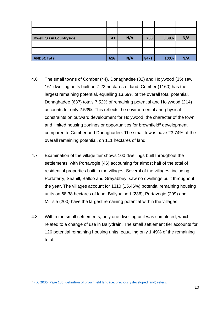| <b>Dwellings in Countryside</b> | 43  | N/A | 286  | 3.38% | N/A |
|---------------------------------|-----|-----|------|-------|-----|
|                                 |     |     |      |       |     |
|                                 |     |     |      |       |     |
| <b>ANDBC Total</b>              | 616 | N/A | 8471 | 100%  | N/A |

- 4.6 The small towns of Comber (44), Donaghadee (82) and Holywood (35) saw 161 dwelling units built on 7.22 hectares of land. Comber (1160) has the largest remaining potential, equalling 13.69% of the overall total potential, Donaghadee (637) totals 7.52% of remaining potential and Holywood (214) accounts for only 2.53%. This reflects the environmental and physical constraints on outward development for Holywood, the character of the town and limited housing zonings or opportunities for brownfield<sup>3</sup> development compared to Comber and Donaghadee. The small towns have 23.74% of the overall remaining potential, on 111 hectares of land.
- 4.7 Examination of the village tier shows 100 dwellings built throughout the settlements, with Portavogie (46) accounting for almost half of the total of residential properties built in the villages. Several of the villages; including Portaferry, Seahill, Balloo and Greyabbey, saw no dwellings built throughout the year. The villages account for 1310 (15.46%) potential remaining housing units on 68.38 hectares of land. Ballyhalbert (236), Portavogie (209) and Millisle (200) have the largest remaining potential within the villages.
- 4.8 Within the small settlements, only one dwelling unit was completed, which related to a change of use in Ballydrain. The small settlement tier accounts for 126 potential remaining housing units, equalling only 1.49% of the remaining total.

<sup>&</sup>lt;sup>3</sup> [RDS 2035 \(Page 106\) definition of brownfield land \(i.e. previously developed land\) refers.](https://www.infrastructure-ni.gov.uk/sites/default/files/publications/infrastructure/regional-development-strategy-2035.pdf)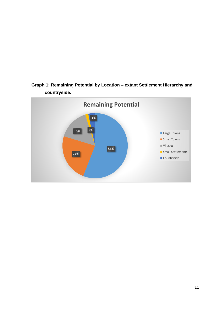

**Graph 1: Remaining Potential by Location – extant Settlement Hierarchy and countryside.**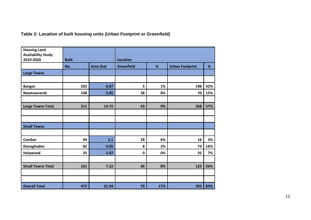| Table 2: Location of built housing units (Urban Footprint or Greenfield) |  |  |  |
|--------------------------------------------------------------------------|--|--|--|
|--------------------------------------------------------------------------|--|--|--|

| <b>Housing Land</b>       |              |           |                                                  |     |     |     |
|---------------------------|--------------|-----------|--------------------------------------------------|-----|-----|-----|
| <b>Availability Study</b> |              |           |                                                  |     |     |     |
| 2019-2020                 | <b>Built</b> |           | <b>Location</b>                                  |     |     |     |
|                           | No.          | Area (ha) | <b>Greenfield</b><br>%<br><b>Urban Footprint</b> |     |     | %   |
| <b>Large Towns</b>        |              |           |                                                  |     |     |     |
|                           |              |           |                                                  |     |     |     |
| <b>Bangor</b>             | 203          | 8.87      | 5                                                | 1%  | 198 | 42% |
| <b>Newtownards</b>        | 108          | 5.85      | 38                                               | 8%  | 70  | 15% |
|                           |              |           |                                                  |     |     |     |
| <b>Large Towns Total</b>  | 311          | 14.72     | 43                                               | 9%  | 268 | 57% |
|                           |              |           |                                                  |     |     |     |
|                           |              |           |                                                  |     |     |     |
| <b>Small Towns</b>        |              |           |                                                  |     |     |     |
|                           |              |           |                                                  |     |     |     |
| <b>Comber</b>             | 44           | 2.1       | 28                                               | 6%  | 16  | 3%  |
| Donaghadee                | 82           | 4.05      | 8                                                | 2%  | 74  | 16% |
| Holywood                  | 35           | 1.07      | $\mathbf 0$                                      | 0%  | 35  | 7%  |
|                           |              |           |                                                  |     |     |     |
| <b>Small Towns Total</b>  | 161          | 7.22      | 36                                               | 8%  | 125 | 26% |
|                           |              |           |                                                  |     |     |     |
|                           |              |           |                                                  |     |     |     |
| <b>Overall Total</b>      | 472          | 21.94     | 79                                               | 17% | 393 | 83% |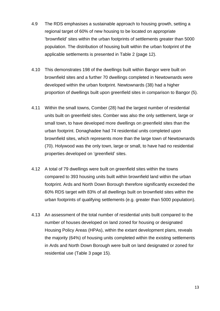- 4.9 The RDS emphasises a sustainable approach to housing growth, setting a regional target of 60% of new housing to be located on appropriate 'brownfield' sites within the urban footprints of settlements greater than 5000 population. The distribution of housing built within the urban footprint of the applicable settlements is presented in Table 2 (page 12).
- 4.10 This demonstrates 198 of the dwellings built within Bangor were built on brownfield sites and a further 70 dwellings completed in Newtownards were developed within the urban footprint. Newtownards (38) had a higher proportion of dwellings built upon greenfield sites in comparison to Bangor (5).
- 4.11 Within the small towns, Comber (28) had the largest number of residential units built on greenfield sites. Comber was also the only settlement, large or small town, to have developed more dwellings on greenfield sites than the urban footprint. Donaghadee had 74 residential units completed upon brownfield sites, which represents more than the large town of Newtownards (70). Holywood was the only town, large or small, to have had no residential properties developed on 'greenfield' sites.
- 4.12 A total of 79 dwellings were built on greenfield sites within the towns compared to 393 housing units built within brownfield land within the urban footprint. Ards and North Down Borough therefore significantly exceeded the 60% RDS target with 83% of all dwellings built on brownfield sites within the urban footprints of qualifying settlements (e.g. greater than 5000 population).
- 4.13 An assessment of the total number of residential units built compared to the number of houses developed on land zoned for housing or designated Housing Policy Areas (HPAs), within the extant development plans, reveals the majority (64%) of housing units completed within the existing settlements in Ards and North Down Borough were built on land designated or zoned for residential use (Table 3 page 15).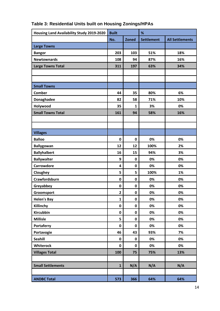| Housing Land Availability Study 2019-2020 | <b>Built</b>   |              | %                 |                        |  |
|-------------------------------------------|----------------|--------------|-------------------|------------------------|--|
|                                           | No.            | <b>Zoned</b> | <b>Settlement</b> | <b>All Settlements</b> |  |
| <b>Large Towns</b>                        |                |              |                   |                        |  |
| <b>Bangor</b>                             | 203            | 103          | 51%               | 18%                    |  |
| <b>Newtownards</b>                        | 108            | 94           | 87%               | 16%                    |  |
| <b>Large Towns Total</b>                  | 311            | 197          | 63%               | 34%                    |  |
|                                           |                |              |                   |                        |  |
|                                           |                |              |                   |                        |  |
| <b>Small Towns</b>                        |                |              |                   |                        |  |
| <b>Comber</b>                             | 44             | 35           | 80%               | 6%                     |  |
| Donaghadee                                | 82             | 58           | 71%               | 10%                    |  |
| Holywood                                  | 35             | $\mathbf{1}$ | 3%                | 0%                     |  |
| <b>Small Towns Total</b>                  | 161            | 94           | 58%               | 16%                    |  |
|                                           |                |              |                   |                        |  |
|                                           |                |              |                   |                        |  |
| <b>Villages</b>                           |                |              |                   |                        |  |
| <b>Balloo</b>                             | $\mathbf 0$    | $\pmb{0}$    | 0%                | 0%                     |  |
| <b>Ballygowan</b>                         | 12             | 12           | 100%              | 2%                     |  |
| <b>Ballyhalbert</b>                       | 16             | 15           | 94%               | 3%                     |  |
| <b>Ballywalter</b>                        | 9              | 0            | 0%                | 0%                     |  |
| <b>Carrowdore</b>                         | 4              | $\pmb{0}$    | 0%                | 0%                     |  |
| Cloughey                                  | 5              | 5            | 100%              | 1%                     |  |
| Crawfordsburn                             | $\mathbf 0$    | $\pmb{0}$    | 0%                | 0%                     |  |
| Greyabbey                                 | $\mathbf 0$    | 0            | 0%                | 0%                     |  |
| Groomsport                                | $\overline{2}$ | $\mathbf 0$  | 0%                | 0%                     |  |
| <b>Helen's Bay</b>                        | $\mathbf{1}$   | 0            | 0%                | 0%                     |  |
| Killinchy                                 | $\pmb{0}$      | 0            | 0%                | 0%                     |  |
| Kircubbin                                 | $\pmb{0}$      | 0            | 0%                | 0%                     |  |
| <b>Millisle</b>                           | 5              | 0            | 0%                | 0%                     |  |
| Portaferry                                | $\pmb{0}$      | 0            | 0%                | 0%                     |  |
| Portavogie                                | 46             | 43           | 93%               | 7%                     |  |
| <b>Seahill</b>                            | $\pmb{0}$      | $\pmb{0}$    | 0%                | 0%                     |  |
| Whiterock                                 | $\pmb{0}$      | $\pmb{0}$    | 0%                | 0%                     |  |
| <b>Villages Total</b>                     | 100            | 75           | 75%               | 13%                    |  |
|                                           |                |              |                   |                        |  |
| <b>Small Settlements</b>                  | $\mathbf{1}$   | N/A          | N/A               | N/A                    |  |
|                                           |                |              |                   |                        |  |
| <b>ANDBC Total</b>                        | 573            | 366          | 64%               | 64%                    |  |

# **Table 3: Residential Units built on Housing Zonings/HPAs**